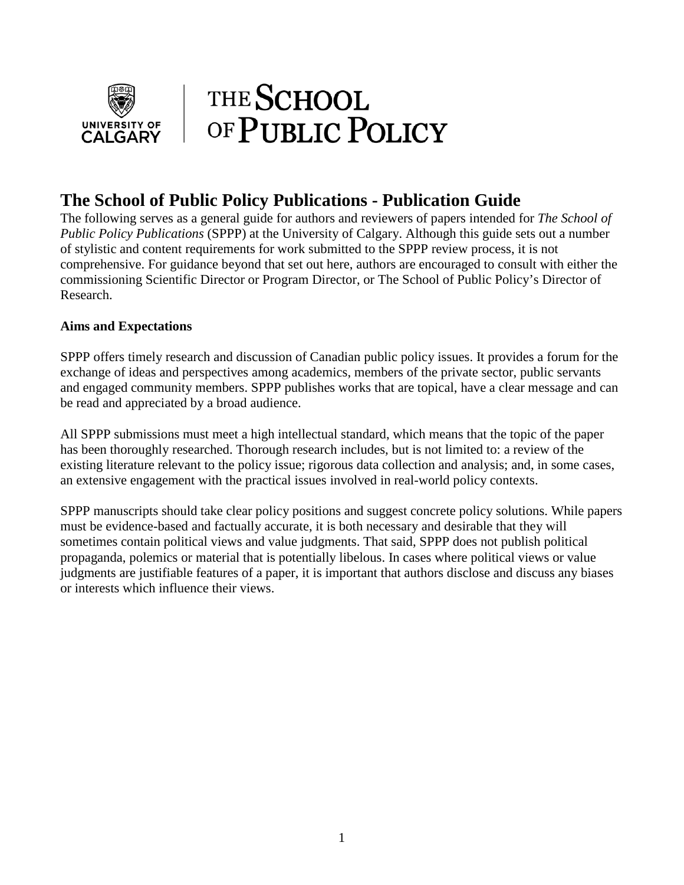

### **The School of Public Policy Publications - Publication Guide**

The following serves as a general guide for authors and reviewers of papers intended for *The School of Public Policy Publications* (SPPP) at the University of Calgary. Although this guide sets out a number of stylistic and content requirements for work submitted to the SPPP review process, it is not comprehensive. For guidance beyond that set out here, authors are encouraged to consult with either the commissioning Scientific Director or Program Director, or The School of Public Policy's Director of Research.

#### **Aims and Expectations**

SPPP offers timely research and discussion of Canadian public policy issues. It provides a forum for the exchange of ideas and perspectives among academics, members of the private sector, public servants and engaged community members. SPPP publishes works that are topical, have a clear message and can be read and appreciated by a broad audience.

All SPPP submissions must meet a high intellectual standard, which means that the topic of the paper has been thoroughly researched. Thorough research includes, but is not limited to: a review of the existing literature relevant to the policy issue; rigorous data collection and analysis; and, in some cases, an extensive engagement with the practical issues involved in real-world policy contexts.

SPPP manuscripts should take clear policy positions and suggest concrete policy solutions. While papers must be evidence-based and factually accurate, it is both necessary and desirable that they will sometimes contain political views and value judgments. That said, SPPP does not publish political propaganda, polemics or material that is potentially libelous. In cases where political views or value judgments are justifiable features of a paper, it is important that authors disclose and discuss any biases or interests which influence their views.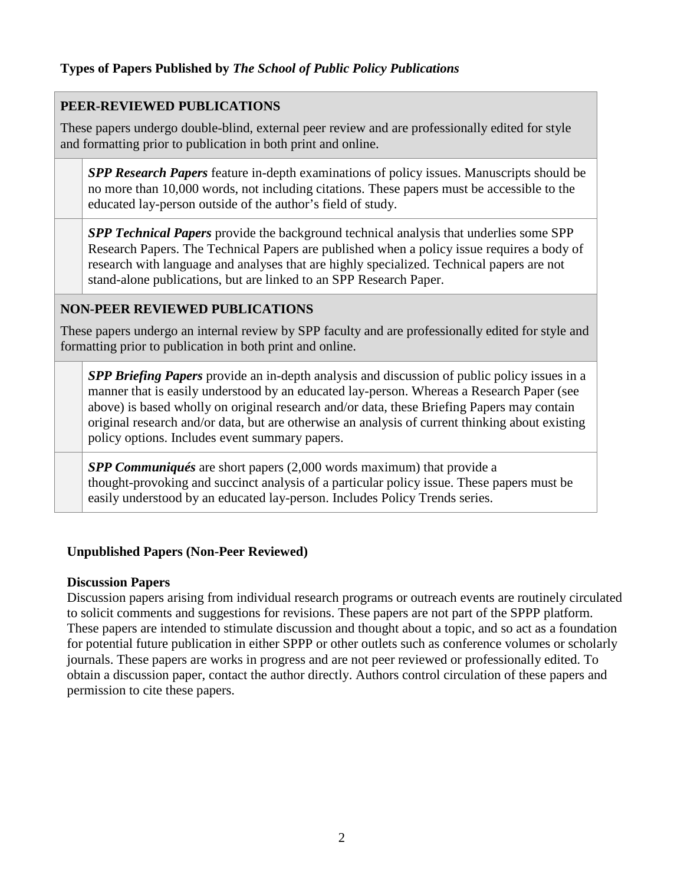#### **Types of Papers Published by** *The School of Public Policy Publications*

#### **PEER-REVIEWED PUBLICATIONS**

These papers undergo double-blind, external peer review and are professionally edited for style and formatting prior to publication in both print and online.

*SPP Research Papers* feature in-depth examinations of policy issues. Manuscripts should be no more than 10,000 words, not including citations. These papers must be accessible to the educated lay-person outside of the author's field of study.

*SPP Technical Papers* provide the background technical analysis that underlies some SPP Research Papers. The Technical Papers are published when a policy issue requires a body of research with language and analyses that are highly specialized. Technical papers are not stand-alone publications, but are linked to an SPP Research Paper.

#### **NON-PEER REVIEWED PUBLICATIONS**

These papers undergo an internal review by SPP faculty and are professionally edited for style and formatting prior to publication in both print and online.

*SPP Briefing Papers* provide an in-depth analysis and discussion of public policy issues in a manner that is easily understood by an educated lay-person. Whereas a Research Paper (see above) is based wholly on original research and/or data, these Briefing Papers may contain original research and/or data, but are otherwise an analysis of current thinking about existing policy options. Includes event summary papers.

*SPP Communiqués* are short papers (2,000 words maximum) that provide a thought-provoking and succinct analysis of a particular policy issue. These papers must be easily understood by an educated lay-person. Includes Policy Trends series.

#### **Unpublished Papers (Non-Peer Reviewed)**

#### **Discussion Papers**

Discussion papers arising from individual research programs or outreach events are routinely circulated to solicit comments and suggestions for revisions. These papers are not part of the SPPP platform. These papers are intended to stimulate discussion and thought about a topic, and so act as a foundation for potential future publication in either SPPP or other outlets such as conference volumes or scholarly journals. These papers are works in progress and are not peer reviewed or professionally edited. To obtain a discussion paper, contact the author directly. Authors control circulation of these papers and permission to cite these papers.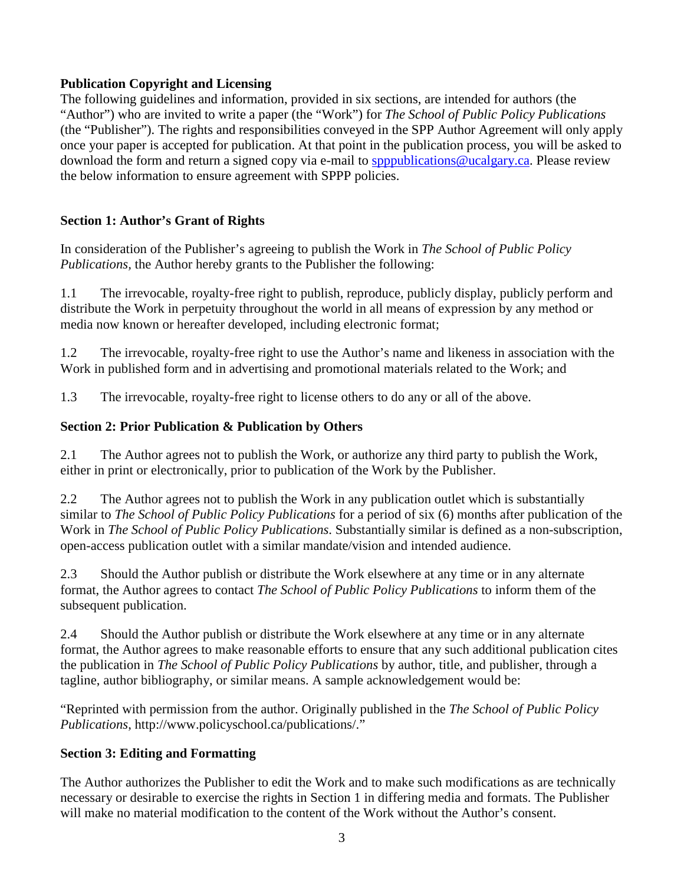#### **Publication Copyright and Licensing**

The following guidelines and information, provided in six sections, are intended for authors (the "Author") who are invited to write a paper (the "Work") for *The School of Public Policy Publications* (the "Publisher"). The rights and responsibilities conveyed in the SPP Author Agreement will only apply once your paper is accepted for publication. At that point in the publication process, you will be asked to download the form and return a signed copy via e-mail to [spppublications@ucalgary.ca.](mailto:spppublications@ucalgary.ca) Please review the below information to ensure agreement with SPPP policies.

#### **Section 1: Author's Grant of Rights**

In consideration of the Publisher's agreeing to publish the Work in *The School of Public Policy Publications,* the Author hereby grants to the Publisher the following:

1.1 The irrevocable, royalty-free right to publish, reproduce, publicly display, publicly perform and distribute the Work in perpetuity throughout the world in all means of expression by any method or media now known or hereafter developed, including electronic format;

1.2 The irrevocable, royalty-free right to use the Author's name and likeness in association with the Work in published form and in advertising and promotional materials related to the Work; and

1.3 The irrevocable, royalty-free right to license others to do any or all of the above.

#### **Section 2: Prior Publication & Publication by Others**

2.1 The Author agrees not to publish the Work, or authorize any third party to publish the Work, either in print or electronically, prior to publication of the Work by the Publisher.

2.2 The Author agrees not to publish the Work in any publication outlet which is substantially similar to *The School of Public Policy Publications* for a period of six (6) months after publication of the Work in *The School of Public Policy Publications*. Substantially similar is defined as a non-subscription, open-access publication outlet with a similar mandate/vision and intended audience.

2.3 Should the Author publish or distribute the Work elsewhere at any time or in any alternate format, the Author agrees to contact *The School of Public Policy Publications* to inform them of the subsequent publication.

2.4 Should the Author publish or distribute the Work elsewhere at any time or in any alternate format, the Author agrees to make reasonable efforts to ensure that any such additional publication cites the publication in *The School of Public Policy Publications* by author, title, and publisher, through a tagline, author bibliography, or similar means. A sample acknowledgement would be:

"Reprinted with permission from the author. Originally published in the *The School of Public Policy Publications*, http://www.policyschool.ca/publications/."

#### **Section 3: Editing and Formatting**

The Author authorizes the Publisher to edit the Work and to make such modifications as are technically necessary or desirable to exercise the rights in Section 1 in differing media and formats. The Publisher will make no material modification to the content of the Work without the Author's consent.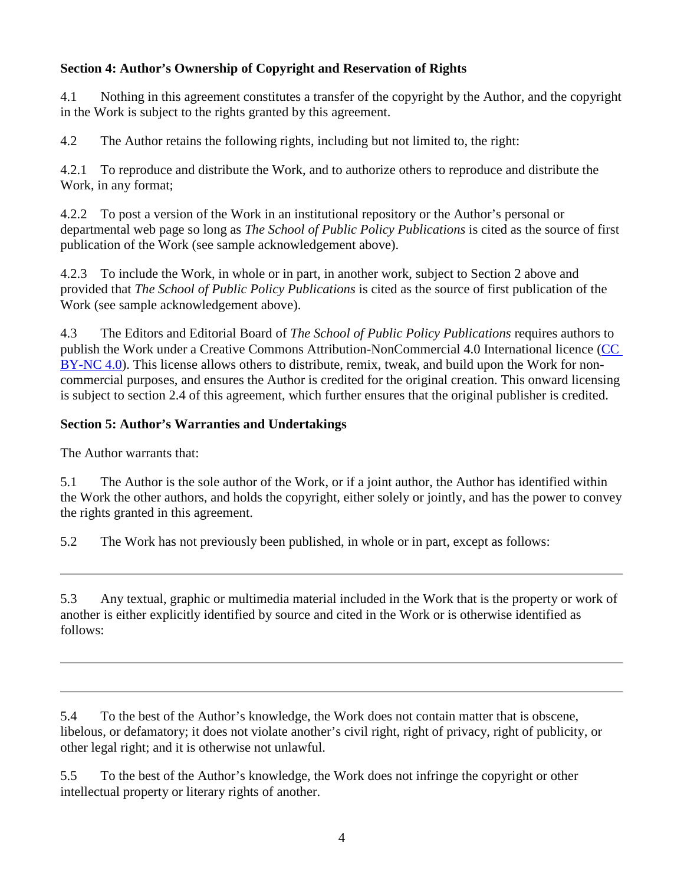#### **Section 4: Author's Ownership of Copyright and Reservation of Rights**

4.1 Nothing in this agreement constitutes a transfer of the copyright by the Author, and the copyright in the Work is subject to the rights granted by this agreement.

4.2 The Author retains the following rights, including but not limited to, the right:

4.2.1 To reproduce and distribute the Work, and to authorize others to reproduce and distribute the Work, in any format;

4.2.2 To post a version of the Work in an institutional repository or the Author's personal or departmental web page so long as *The School of Public Policy Publications* is cited as the source of first publication of the Work (see sample acknowledgement above).

4.2.3 To include the Work, in whole or in part, in another work, subject to Section 2 above and provided that *The School of Public Policy Publications* is cited as the source of first publication of the Work (see sample acknowledgement above).

4.3 The Editors and Editorial Board of *The School of Public Policy Publications* requires authors to publish the Work under a Creative Commons Attribution-NonCommercial 4.0 International licence [\(CC](https://creativecommons.org/licenses/by-nc/4.0/)  [BY-NC 4.0\)](https://creativecommons.org/licenses/by-nc/4.0/). This license allows others to distribute, remix, tweak, and build upon the Work for noncommercial purposes, and ensures the Author is credited for the original creation. This onward licensing is subject to section 2.4 of this agreement, which further ensures that the original publisher is credited.

#### **Section 5: Author's Warranties and Undertakings**

The Author warrants that:

5.1 The Author is the sole author of the Work, or if a joint author, the Author has identified within the Work the other authors, and holds the copyright, either solely or jointly, and has the power to convey the rights granted in this agreement.

5.2 The Work has not previously been published, in whole or in part, except as follows:

5.3 Any textual, graphic or multimedia material included in the Work that is the property or work of another is either explicitly identified by source and cited in the Work or is otherwise identified as follows:

5.4 To the best of the Author's knowledge, the Work does not contain matter that is obscene, libelous, or defamatory; it does not violate another's civil right, right of privacy, right of publicity, or other legal right; and it is otherwise not unlawful.

5.5 To the best of the Author's knowledge, the Work does not infringe the copyright or other intellectual property or literary rights of another.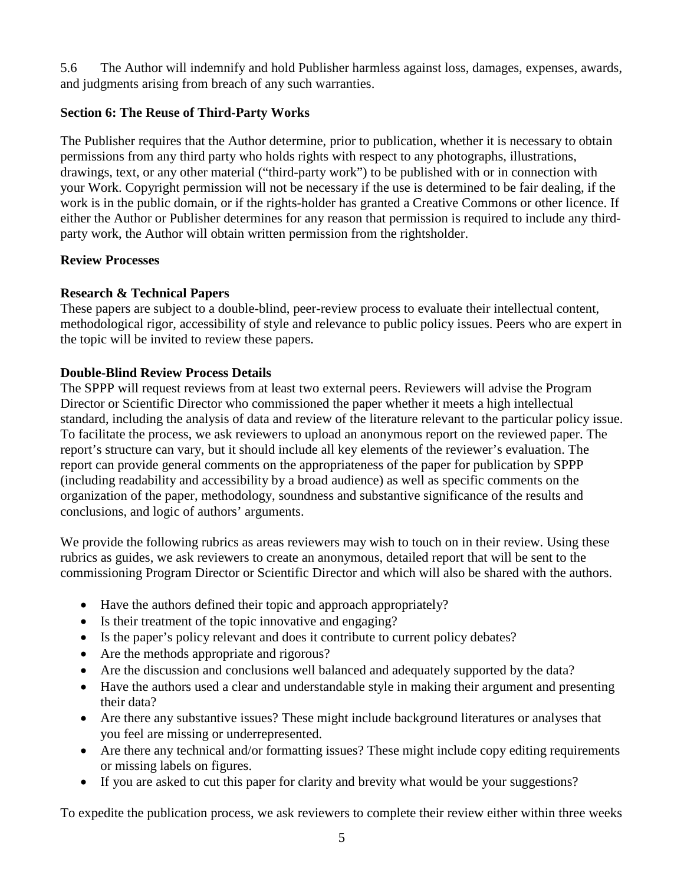5.6 The Author will indemnify and hold Publisher harmless against loss, damages, expenses, awards, and judgments arising from breach of any such warranties.

#### **Section 6: The Reuse of Third-Party Works**

The Publisher requires that the Author determine, prior to publication, whether it is necessary to obtain permissions from any third party who holds rights with respect to any photographs, illustrations, drawings, text, or any other material ("third-party work") to be published with or in connection with your Work. Copyright permission will not be necessary if the use is determined to be fair dealing, if the work is in the public domain, or if the rights-holder has granted a Creative Commons or other licence. If either the Author or Publisher determines for any reason that permission is required to include any thirdparty work, the Author will obtain written permission from the rightsholder.

#### **Review Processes**

#### **Research & Technical Papers**

These papers are subject to a double-blind, peer-review process to evaluate their intellectual content, methodological rigor, accessibility of style and relevance to public policy issues. Peers who are expert in the topic will be invited to review these papers.

#### **Double-Blind Review Process Details**

The SPPP will request reviews from at least two external peers. Reviewers will advise the Program Director or Scientific Director who commissioned the paper whether it meets a high intellectual standard, including the analysis of data and review of the literature relevant to the particular policy issue. To facilitate the process, we ask reviewers to upload an anonymous report on the reviewed paper. The report's structure can vary, but it should include all key elements of the reviewer's evaluation. The report can provide general comments on the appropriateness of the paper for publication by SPPP (including readability and accessibility by a broad audience) as well as specific comments on the organization of the paper, methodology, soundness and substantive significance of the results and conclusions, and logic of authors' arguments.

We provide the following rubrics as areas reviewers may wish to touch on in their review. Using these rubrics as guides, we ask reviewers to create an anonymous, detailed report that will be sent to the commissioning Program Director or Scientific Director and which will also be shared with the authors.

- Have the authors defined their topic and approach appropriately?
- Is their treatment of the topic innovative and engaging?
- Is the paper's policy relevant and does it contribute to current policy debates?
- Are the methods appropriate and rigorous?
- Are the discussion and conclusions well balanced and adequately supported by the data?
- Have the authors used a clear and understandable style in making their argument and presenting their data?
- Are there any substantive issues? These might include background literatures or analyses that you feel are missing or underrepresented.
- Are there any technical and/or formatting issues? These might include copy editing requirements or missing labels on figures.
- If you are asked to cut this paper for clarity and brevity what would be your suggestions?

To expedite the publication process, we ask reviewers to complete their review either within three weeks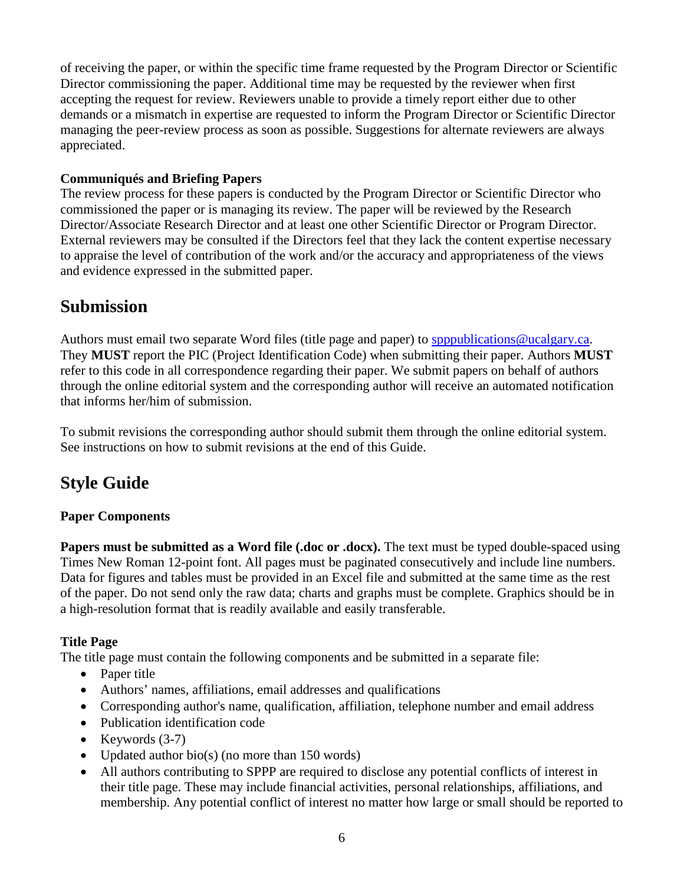of receiving the paper, or within the specific time frame requested by the Program Director or Scientific Director commissioning the paper. Additional time may be requested by the reviewer when first accepting the request for review. Reviewers unable to provide a timely report either due to other demands or a mismatch in expertise are requested to inform the Program Director or Scientific Director managing the peer-review process as soon as possible. Suggestions for alternate reviewers are always appreciated.

#### **Communiqués and Briefing Papers**

The review process for these papers is conducted by the Program Director or Scientific Director who commissioned the paper or is managing its review. The paper will be reviewed by the Research Director/Associate Research Director and at least one other Scientific Director or Program Director. External reviewers may be consulted if the Directors feel that they lack the content expertise necessary to appraise the level of contribution of the work and/or the accuracy and appropriateness of the views and evidence expressed in the submitted paper.

## **Submission**

Authors must email two separate Word files (title page and paper) to [spppublications@ucalgary.ca.](mailto:spppublications@ucalgary.ca) They **MUST** report the PIC (Project Identification Code) when submitting their paper. Authors **MUST** refer to this code in all correspondence regarding their paper. We submit papers on behalf of authors through the online editorial system and the corresponding author will receive an automated notification that informs her/him of submission.

To submit revisions the corresponding author should submit them through the online editorial system. See instructions on how to submit revisions at the end of this Guide.

# **Style Guide**

#### **Paper Components**

**Papers must be submitted as a Word file (.doc or .docx).** The text must be typed double-spaced using Times New Roman 12-point font. All pages must be paginated consecutively and include line numbers. Data for figures and tables must be provided in an Excel file and submitted at the same time as the rest of the paper. Do not send only the raw data; charts and graphs must be complete. Graphics should be in a high-resolution format that is readily available and easily transferable.

#### **Title Page**

The title page must contain the following components and be submitted in a separate file:

- Paper title
- Authors' names, affiliations, email addresses and qualifications
- Corresponding author's name, qualification, affiliation, telephone number and email address
- Publication identification code
- Keywords  $(3-7)$
- Updated author bio(s) (no more than 150 words)
- All authors contributing to SPPP are required to disclose any potential conflicts of interest in their title page. These may include financial activities, personal relationships, affiliations, and membership. Any potential conflict of interest no matter how large or small should be reported to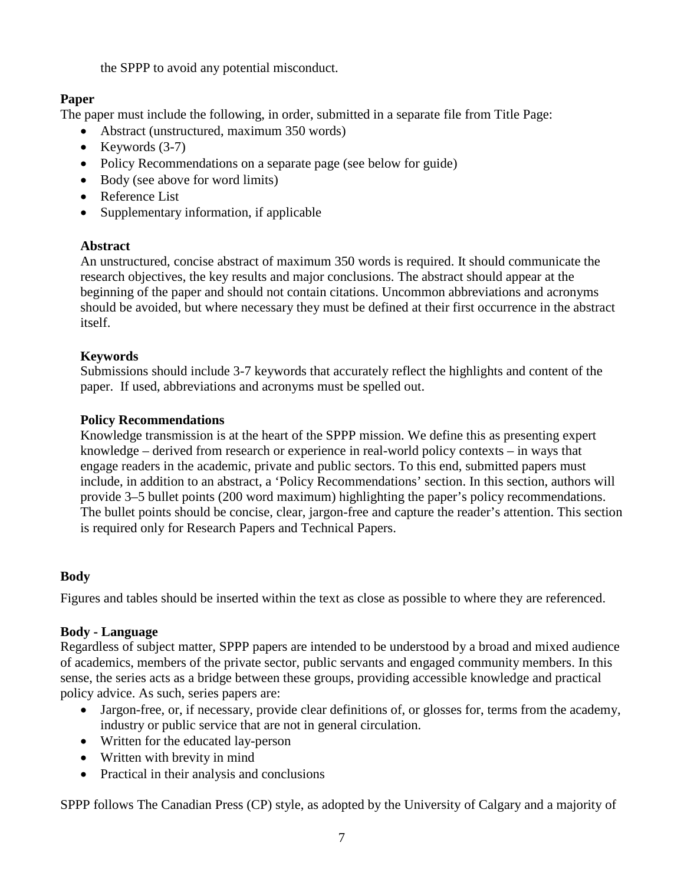the SPPP to avoid any potential misconduct.

#### **Paper**

The paper must include the following, in order, submitted in a separate file from Title Page:

- Abstract (unstructured, maximum 350 words)
- Keywords  $(3-7)$
- Policy Recommendations on a separate page (see below for guide)
- Body (see above for word limits)
- Reference List
- Supplementary information, if applicable

#### **Abstract**

An unstructured, concise abstract of maximum 350 words is required. It should communicate the research objectives, the key results and major conclusions. The abstract should appear at the beginning of the paper and should not contain citations. Uncommon abbreviations and acronyms should be avoided, but where necessary they must be defined at their first occurrence in the abstract itself.

#### **Keywords**

Submissions should include 3-7 keywords that accurately reflect the highlights and content of the paper. If used, abbreviations and acronyms must be spelled out.

#### **Policy Recommendations**

Knowledge transmission is at the heart of the SPPP mission. We define this as presenting expert knowledge – derived from research or experience in real-world policy contexts – in ways that engage readers in the academic, private and public sectors. To this end, submitted papers must include, in addition to an abstract, a 'Policy Recommendations' section. In this section, authors will provide 3–5 bullet points (200 word maximum) highlighting the paper's policy recommendations. The bullet points should be concise, clear, jargon-free and capture the reader's attention. This section is required only for Research Papers and Technical Papers.

#### **Body**

Figures and tables should be inserted within the text as close as possible to where they are referenced.

#### **Body - Language**

Regardless of subject matter, SPPP papers are intended to be understood by a broad and mixed audience of academics, members of the private sector, public servants and engaged community members. In this sense, the series acts as a bridge between these groups, providing accessible knowledge and practical policy advice. As such, series papers are:

- Jargon-free, or, if necessary, provide clear definitions of, or glosses for, terms from the academy, industry or public service that are not in general circulation.
- Written for the educated lay-person
- Written with brevity in mind
- Practical in their analysis and conclusions

SPPP follows The Canadian Press (CP) style, as adopted by the University of Calgary and a majority of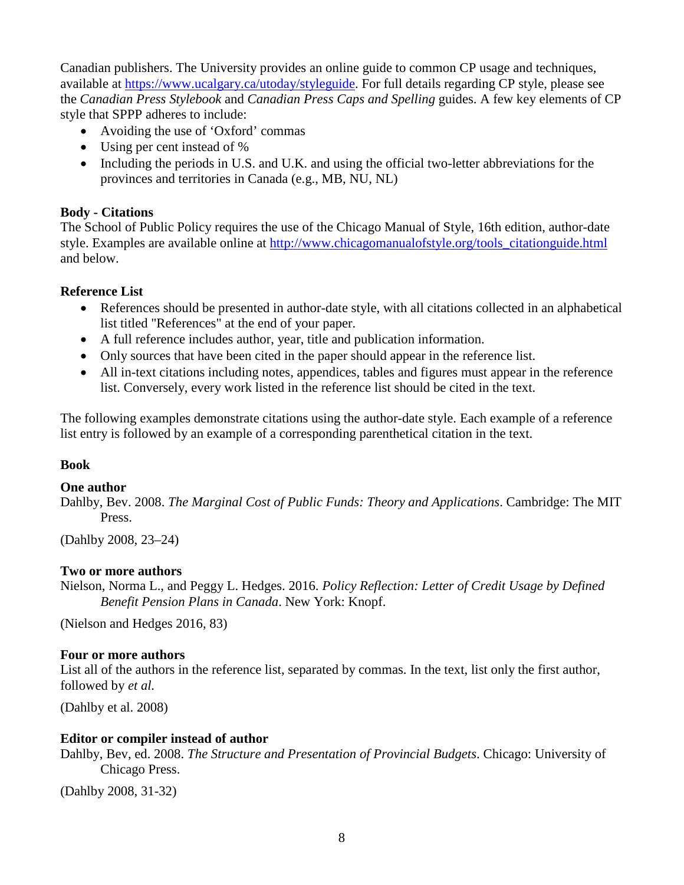Canadian publishers. The University provides an online guide to common CP usage and techniques, available at [https://www.ucalgary.ca/utoday/styleguide.](https://www.ucalgary.ca/utoday/styleguide) For full details regarding CP style, please see the *Canadian Press Stylebook* and *Canadian Press Caps and Spelling* guides. A few key elements of CP style that SPPP adheres to include:

- Avoiding the use of 'Oxford' commas
- Using per cent instead of %
- Including the periods in U.S. and U.K. and using the official two-letter abbreviations for the provinces and territories in Canada (e.g., MB, NU, NL)

#### **Body - Citations**

The School of Public Policy requires the use of the Chicago Manual of Style, 16th edition, author-date style. Examples are available online at [http://www.chicagomanualofstyle.org/tools\\_citationguide.html](http://www.chicagomanualofstyle.org/tools_citationguide.html) and below.

#### **Reference List**

- References should be presented in author-date style, with all citations collected in an alphabetical list titled "References" at the end of your paper.
- A full reference includes author, year, title and publication information.
- Only sources that have been cited in the paper should appear in the reference list.
- All in-text citations including notes, appendices, tables and figures must appear in the reference list. Conversely, every work listed in the reference list should be cited in the text.

The following examples demonstrate citations using the author-date style. Each example of a reference list entry is followed by an example of a corresponding parenthetical citation in the text.

#### **Book**

#### **One author**

Dahlby, Bev. 2008. *The Marginal Cost of Public Funds: Theory and Applications*. Cambridge: The MIT Press.

(Dahlby 2008, 23–24)

#### **Two or more authors**

Nielson, Norma L., and Peggy L. Hedges. 2016. *Policy Reflection: Letter of Credit Usage by Defined Benefit Pension Plans in Canada*. New York: Knopf.

(Nielson and Hedges 2016, 83)

#### **Four or more authors**

List all of the authors in the reference list, separated by commas. In the text, list only the first author, followed by *et al.*

(Dahlby et al. 2008)

#### **Editor or compiler instead of author**

Dahlby, Bev, ed. 2008. *The Structure and Presentation of Provincial Budgets*. Chicago: University of Chicago Press.

(Dahlby 2008, 31-32)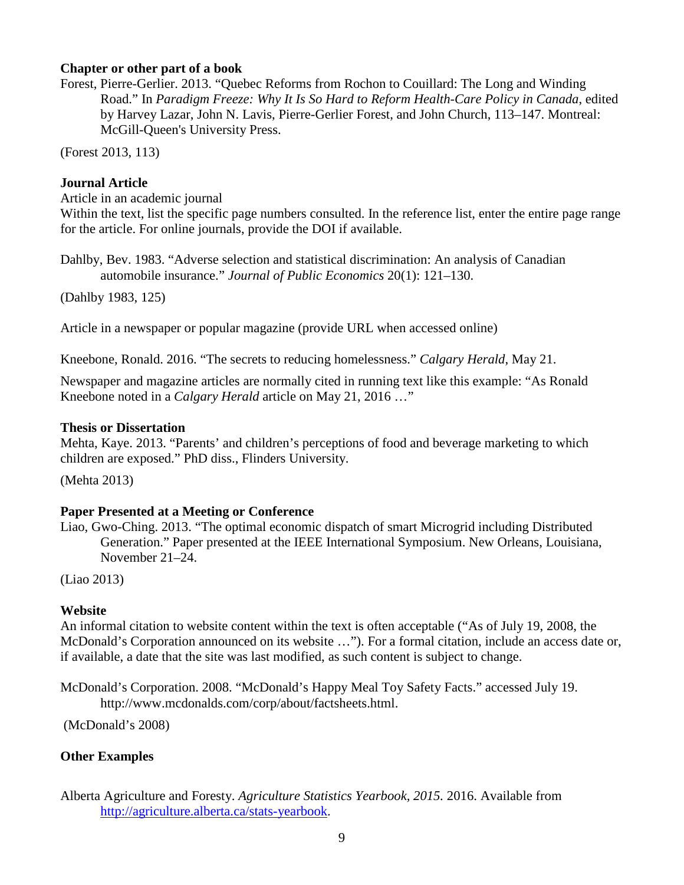#### **Chapter or other part of a book**

Forest, Pierre-Gerlier. 2013. "Quebec Reforms from Rochon to Couillard: The Long and Winding Road." In *Paradigm Freeze: Why It Is So Hard to Reform Health-Care Policy in Canada*, edited by Harvey Lazar, John N. Lavis, Pierre-Gerlier Forest, and John Church, 113–147. Montreal: McGill-Queen's University Press.

(Forest 2013, 113)

#### **Journal Article**

Article in an academic journal

Within the text, list the specific page numbers consulted. In the reference list, enter the entire page range for the article. For online journals, provide the DOI if available.

Dahlby, Bev. 1983. "Adverse selection and statistical discrimination: An analysis of Canadian automobile insurance." *Journal of Public Economics* 20(1): 121–130.

(Dahlby 1983, 125)

Article in a newspaper or popular magazine (provide URL when accessed online)

Kneebone, Ronald. 2016. "The secrets to reducing homelessness." *Calgary Herald*, May 21.

Newspaper and magazine articles are normally cited in running text like this example: "As Ronald Kneebone noted in a *Calgary Herald* article on May 21, 2016 …"

#### **Thesis or Dissertation**

Mehta, Kaye. 2013. "Parents' and children's perceptions of food and beverage marketing to which children are exposed." PhD diss., Flinders University.

(Mehta 2013)

#### **Paper Presented at a Meeting or Conference**

Liao, Gwo-Ching. 2013. "The optimal economic dispatch of smart Microgrid including Distributed Generation." Paper presented at the IEEE International Symposium. New Orleans, Louisiana, November 21–24.

(Liao 2013)

#### **Website**

An informal citation to website content within the text is often acceptable ("As of July 19, 2008, the McDonald's Corporation announced on its website …"). For a formal citation, include an access date or, if available, a date that the site was last modified, as such content is subject to change.

McDonald's Corporation. 2008. "McDonald's Happy Meal Toy Safety Facts." accessed July 19. http://www.mcdonalds.com/corp/about/factsheets.html.

(McDonald's 2008)

#### **Other Examples**

Alberta Agriculture and Foresty. *Agriculture Statistics Yearbook, 2015.* 2016. Available from [http://agriculture.alberta.ca/stats-yearbook.](http://agriculture.alberta.ca/stats-yearbook)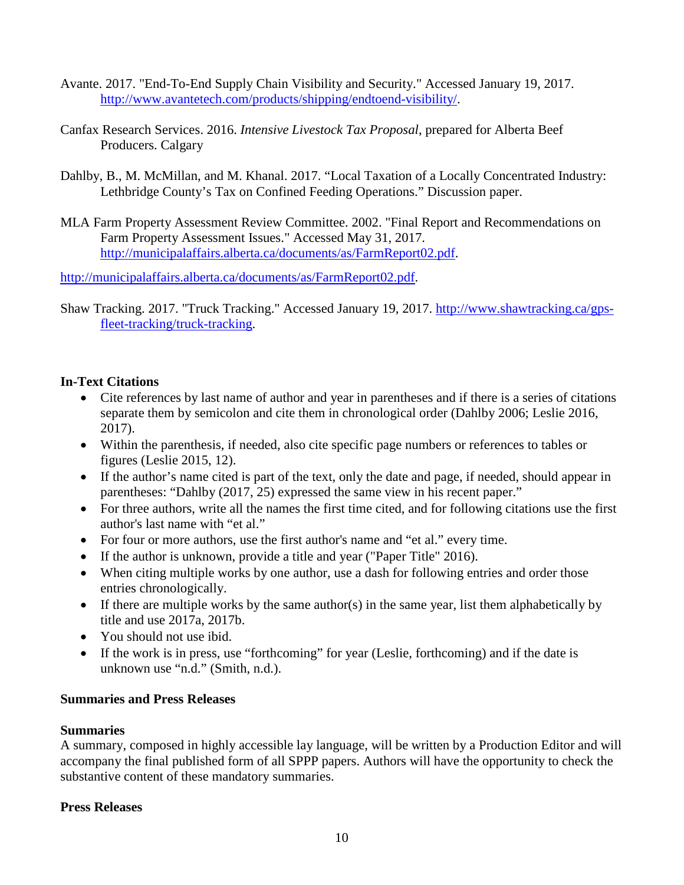- Avante. 2017. "End-To-End Supply Chain Visibility and Security." Accessed January 19, 2017. [http://www.avantetech.com/products/shipping/endtoend-visibility/.](http://www.avantetech.com/products/shipping/endtoend-visibility/)
- Canfax Research Services. 2016. *Intensive Livestock Tax Proposal*, prepared for Alberta Beef Producers. Calgary
- Dahlby, B., M. McMillan, and M. Khanal. 2017. "Local Taxation of a Locally Concentrated Industry: Lethbridge County's Tax on Confined Feeding Operations." Discussion paper.
- MLA Farm Property Assessment Review Committee. 2002. "Final Report and Recommendations on Farm Property Assessment Issues." Accessed May 31, 2017. [http://municipalaffairs.alberta.ca/documents/as/FarmReport02.pdf.](http://municipalaffairs.alberta.ca/documents/as/FarmReport02.pdf)

[http://municipalaffairs.alberta.ca/documents/as/FarmReport02.pdf.](http://municipalaffairs.alberta.ca/documents/as/FarmReport02.pdf)

Shaw Tracking. 2017. "Truck Tracking." Accessed January 19, 2017. [http://www.shawtracking.ca/gps](http://www.shawtracking.ca/gps-fleet-tracking/truck-tracking)[fleet-tracking/truck-tracking.](http://www.shawtracking.ca/gps-fleet-tracking/truck-tracking)

#### **In-Text Citations**

- Cite references by last name of author and year in parentheses and if there is a series of citations separate them by semicolon and cite them in chronological order (Dahlby 2006; Leslie 2016, 2017).
- Within the parenthesis, if needed, also cite specific page numbers or references to tables or figures (Leslie 2015, 12).
- If the author's name cited is part of the text, only the date and page, if needed, should appear in parentheses: "Dahlby (2017, 25) expressed the same view in his recent paper."
- For three authors, write all the names the first time cited, and for following citations use the first author's last name with "et al."
- For four or more authors, use the first author's name and "et al." every time.
- If the author is unknown, provide a title and year ("Paper Title" 2016).
- When citing multiple works by one author, use a dash for following entries and order those entries chronologically.
- If there are multiple works by the same author(s) in the same year, list them alphabetically by title and use 2017a, 2017b.
- You should not use ibid.
- If the work is in press, use "forthcoming" for year (Leslie, forthcoming) and if the date is unknown use "n.d." (Smith, n.d.).

#### **Summaries and Press Releases**

#### **Summaries**

A summary, composed in highly accessible lay language, will be written by a Production Editor and will accompany the final published form of all SPPP papers. Authors will have the opportunity to check the substantive content of these mandatory summaries.

#### **Press Releases**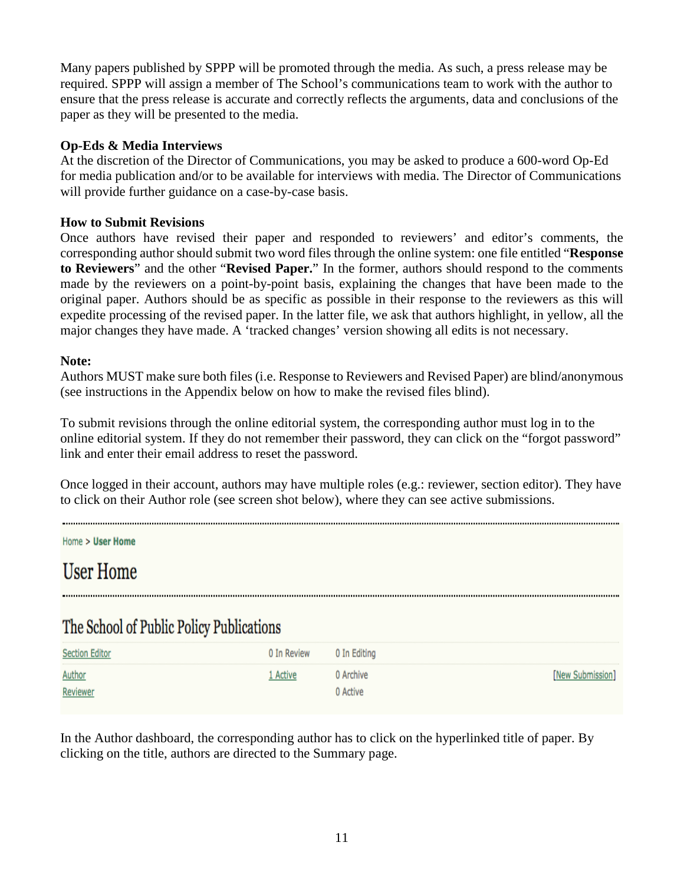Many papers published by SPPP will be promoted through the media. As such, a press release may be required. SPPP will assign a member of The School's communications team to work with the author to ensure that the press release is accurate and correctly reflects the arguments, data and conclusions of the paper as they will be presented to the media.

#### **Op-Eds & Media Interviews**

At the discretion of the Director of Communications, you may be asked to produce a 600-word Op-Ed for media publication and/or to be available for interviews with media. The Director of Communications will provide further guidance on a case-by-case basis.

#### **How to Submit Revisions**

Once authors have revised their paper and responded to reviewers' and editor's comments, the corresponding author should submit two word files through the online system: one file entitled "**Response to Reviewers**" and the other "**Revised Paper.**" In the former, authors should respond to the comments made by the reviewers on a point-by-point basis, explaining the changes that have been made to the original paper. Authors should be as specific as possible in their response to the reviewers as this will expedite processing of the revised paper. In the latter file, we ask that authors highlight, in yellow, all the major changes they have made. A 'tracked changes' version showing all edits is not necessary.

#### **Note:**

Authors MUST make sure both files (i.e. Response to Reviewers and Revised Paper) are blind/anonymous (see instructions in the Appendix below on how to make the revised files blind).

To submit revisions through the online editorial system, the corresponding author must log in to the online editorial system. If they do not remember their password, they can click on the "forgot password" link and enter their email address to reset the password.

Once logged in their account, authors may have multiple roles (e.g.: reviewer, section editor). They have to click on their Author role (see screen shot below), where they can see active submissions.

Home > User Home

# **User Home**

# The School of Public Policy Publications

| <b>Section Editor</b> | 0 In Review 0 In Editing |           |                  |
|-----------------------|--------------------------|-----------|------------------|
| Author                | 1 Active                 | 0 Archive | [New Submission] |
| Reviewer              |                          | 0 Active  |                  |

In the Author dashboard, the corresponding author has to click on the hyperlinked title of paper. By clicking on the title, authors are directed to the Summary page.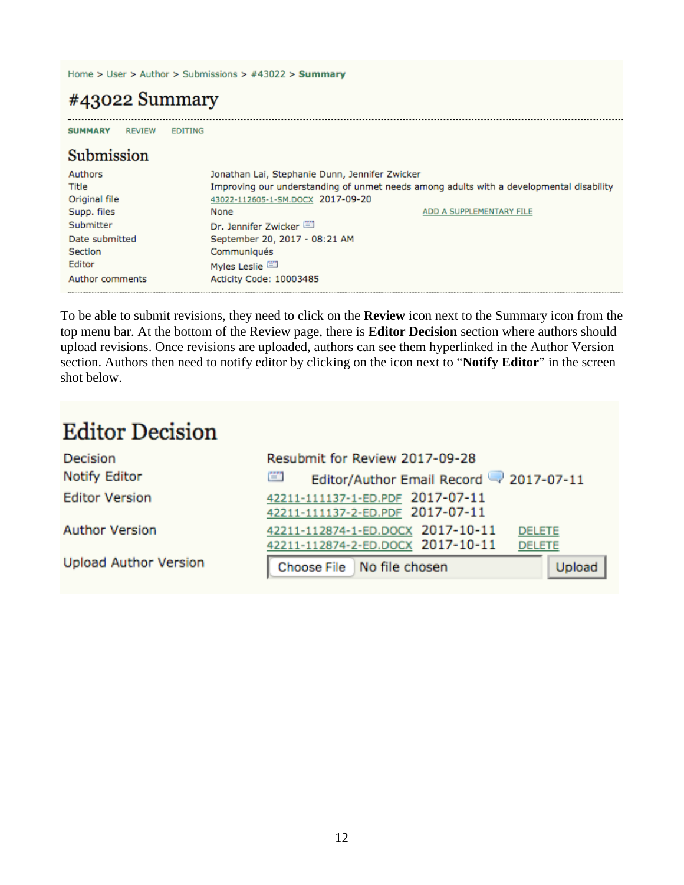Home > User > Author > Submissions > #43022 > Summary

# #43022 Summary

........... **SUMMARY REVIEW EDITING** 

### Submission

| Authors<br>Title<br>Original file | Jonathan Lai, Stephanie Dunn, Jennifer Zwicker<br>Improving our understanding of unmet needs among adults with a developmental disability<br>43022-112605-1-SM.DOCX 2017-09-20 |                          |
|-----------------------------------|--------------------------------------------------------------------------------------------------------------------------------------------------------------------------------|--------------------------|
| Supp. files                       | None                                                                                                                                                                           | ADD A SUPPLEMENTARY FILE |
| Submitter                         | Dr. Jennifer Zwicker                                                                                                                                                           |                          |
| Date submitted                    | September 20, 2017 - 08:21 AM                                                                                                                                                  |                          |
| Section                           | Communiqués                                                                                                                                                                    |                          |
| Editor                            | Myles Leslie                                                                                                                                                                   |                          |
| Author comments                   | Acticity Code: 10003485                                                                                                                                                        |                          |

To be able to submit revisions, they need to click on the **Review** icon next to the Summary icon from the top menu bar. At the bottom of the Review page, there is **Editor Decision** section where authors should upload revisions. Once revisions are uploaded, authors can see them hyperlinked in the Author Version section. Authors then need to notify editor by clicking on the icon next to "**Notify Editor**" in the screen shot below.

# **Editor Decision**

| Decision                     | Resubmit for Review 2017-09-28                                                                           |
|------------------------------|----------------------------------------------------------------------------------------------------------|
| <b>Notify Editor</b>         | 嘗<br>Editor/Author Email Record 2017-07-11                                                               |
| <b>Editor Version</b>        | 42211-111137-1-ED.PDF 2017-07-11<br>42211-111137-2-ED.PDF 2017-07-11                                     |
| <b>Author Version</b>        | 42211-112874-1-ED.DOCX 2017-10-11<br><b>DELETE</b><br>42211-112874-2-ED.DOCX 2017-10-11<br><b>DELETE</b> |
| <b>Upload Author Version</b> | Choose File No file chosen<br>Upload                                                                     |